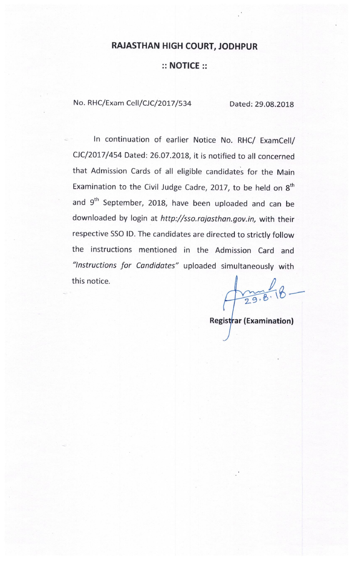# **RAJASTHAN HIGH COURT, JODHPUR**

## $::$  NOTICE  $::$

No. RHC/Exam Cell/CJC/2017/534

Dated: 29.08.2018

In continuation of earlier Notice No. RHC/ ExamCell/ CJC/2017/454 Dated: 26.07.2018, it is notified to all concerned that Admission Cards of all eligible candidates for the Main Examination to the Civil Judge Cadre, 2017, to be held on 8<sup>th</sup> and 9<sup>th</sup> September, 2018, have been uploaded and can be downloaded by login at http://sso.rajasthan.gov.in, with their respective SSO ID. The candidates are directed to strictly follow the instructions mentioned in the Admission Card and "Instructions for Candidates" uploaded simultaneously with this notice.

 $29.8.8$ 

**Registrar (Examination)**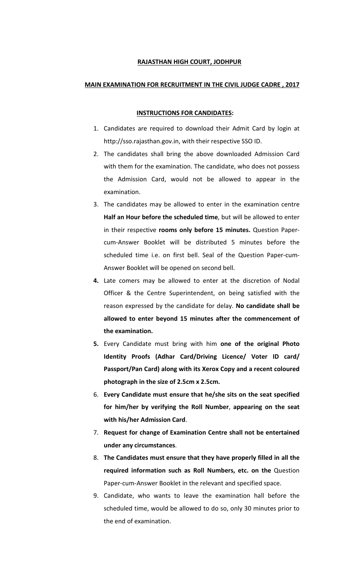### RAJASTHAN HIGH COURT, JODHPUR

### MAIN EXAMINATION FOR RECRUITMENT IN THE CIVIL JUDGE CADRE , 2017

#### INSTRUCTIONS FOR CANDIDATES:

- 1. Candidates are required to download their Admit Card by login at http://sso.rajasthan.gov.in, with their respective SSO ID.
- 2. The candidates shall bring the above downloaded Admission Card with them for the examination. The candidate, who does not possess the Admission Card, would not be allowed to appear in the examination.
- 3. The candidates may be allowed to enter in the examination centre Half an Hour before the scheduled time, but will be allowed to enter in their respective rooms only before 15 minutes. Question Papercum-Answer Booklet will be distributed 5 minutes before the scheduled time i.e. on first bell. Seal of the Question Paper-cum-Answer Booklet will be opened on second bell.
- 4. Late comers may be allowed to enter at the discretion of Nodal Officer & the Centre Superintendent, on being satisfied with the reason expressed by the candidate for delay. No candidate shall be allowed to enter beyond 15 minutes after the commencement of the examination.
- 5. Every Candidate must bring with him one of the original Photo Identity Proofs (Adhar Card/Driving Licence/ Voter ID card/ Passport/Pan Card) along with its Xerox Copy and a recent coloured photograph in the size of 2.5cm x 2.5cm.
- 6. Every Candidate must ensure that he/she sits on the seat specified for him/her by verifying the Roll Number, appearing on the seat with his/her Admission Card.
- 7. Request for change of Examination Centre shall not be entertained under any circumstances.
- 8. The Candidates must ensure that they have properly filled in all the required information such as Roll Numbers, etc. on the Question Paper-cum-Answer Booklet in the relevant and specified space.
- 9. Candidate, who wants to leave the examination hall before the scheduled time, would be allowed to do so, only 30 minutes prior to the end of examination.